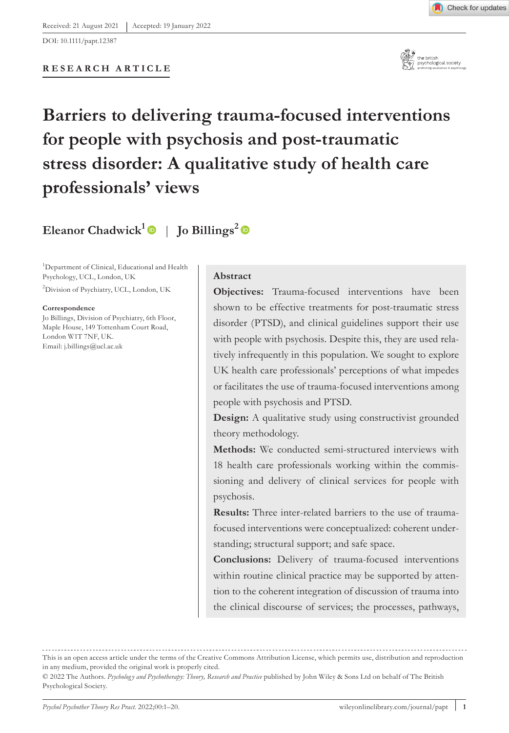DOI: 10.1111/papt.12387



# **Barriers to delivering trauma-focused interventions for people with psychosis and post-traumatic stress disorder: A qualitative study of health care professionals' views**

# **Eleanor Chadwick**<sup>[1](https://orcid.org/0000-0002-3167-0088)</sup> | **Jo Billings**<sup>[2](https://orcid.org/0000-0003-1238-2440)</sup>  $\bullet$

<sup>1</sup>Department of Clinical, Educational and Health Psychology, UCL, London, UK

2 Division of Psychiatry, UCL, London, UK

**Correspondence**

Jo Billings, Division of Psychiatry, 6th Floor, Maple House, 149 Tottenham Court Road, London W1T 7NF, UK. Email: [j.billings@ucl.ac.uk](mailto:j.billings@ucl.ac.uk)

#### **Abstract**

**Objectives:** Trauma-focused interventions have been shown to be effective treatments for post-traumatic stress disorder (PTSD), and clinical guidelines support their use with people with psychosis. Despite this, they are used relatively infrequently in this population. We sought to explore UK health care professionals' perceptions of what impedes or facilitates the use of trauma-focused interventions among people with psychosis and PTSD.

**Design:** A qualitative study using constructivist grounded theory methodology.

**Methods:** We conducted semi-structured interviews with 18 health care professionals working within the commissioning and delivery of clinical services for people with psychosis.

**Results:** Three inter-related barriers to the use of traumafocused interventions were conceptualized: coherent understanding; structural support; and safe space.

**Conclusions:** Delivery of trauma-focused interventions within routine clinical practice may be supported by attention to the coherent integration of discussion of trauma into the clinical discourse of services; the processes, pathways,

This is an open access article under the terms of the [Creative Commons Attribution](http://creativecommons.org/licenses/by/4.0/) License, which permits use, distribution and reproduction in any medium, provided the original work is properly cited.

<sup>© 2022</sup> The Authors. *Psycholog y and Psychotherapy: Theory, Research and Practice* published by John Wiley & Sons Ltd on behalf of The British Psychological Society.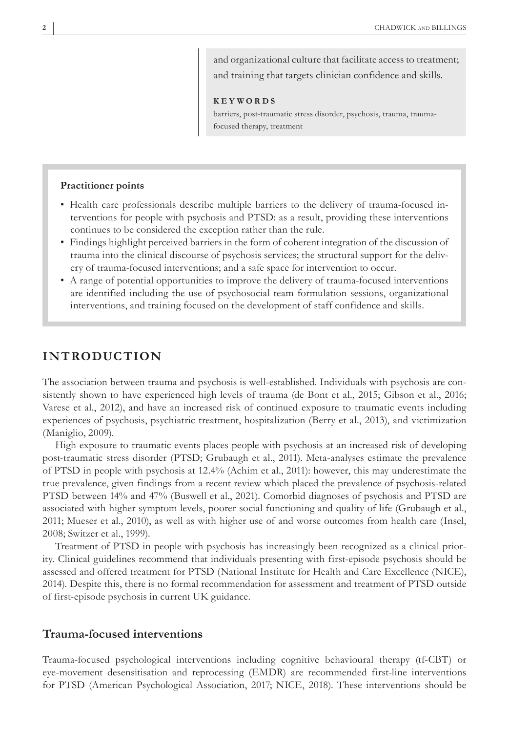and organizational culture that facilitate access to treatment; and training that targets clinician confidence and skills.

#### **KEYWORDS**

barriers, post-traumatic stress disorder, psychosis, trauma, traumafocused therapy, treatment

#### **Practitioner points**

- Health care professionals describe multiple barriers to the delivery of trauma-focused interventions for people with psychosis and PTSD: as a result, providing these interventions continues to be considered the exception rather than the rule.
- Findings highlight perceived barriers in the form of coherent integration of the discussion of trauma into the clinical discourse of psychosis services; the structural support for the delivery of trauma-focused interventions; and a safe space for intervention to occur.
- A range of potential opportunities to improve the delivery of trauma-focused interventions are identified including the use of psychosocial team formulation sessions, organizational interventions, and training focused on the development of staff confidence and skills.

# **INTRODUCTION**

The association between trauma and psychosis is well-established. Individuals with psychosis are consistently shown to have experienced high levels of trauma (de Bont et al., 2015; Gibson et al., 2016; Varese et al., 2012), and have an increased risk of continued exposure to traumatic events including experiences of psychosis, psychiatric treatment, hospitalization (Berry et al., 2013), and victimization (Maniglio, 2009).

High exposure to traumatic events places people with psychosis at an increased risk of developing post-traumatic stress disorder (PTSD; Grubaugh et al., 2011). Meta-analyses estimate the prevalence of PTSD in people with psychosis at 12.4% (Achim et al., 2011): however, this may underestimate the true prevalence, given findings from a recent review which placed the prevalence of psychosis-related PTSD between 14% and 47% (Buswell et al., 2021). Comorbid diagnoses of psychosis and PTSD are associated with higher symptom levels, poorer social functioning and quality of life (Grubaugh et al., 2011; Mueser et al., 2010), as well as with higher use of and worse outcomes from health care (Insel, 2008; Switzer et al., 1999).

Treatment of PTSD in people with psychosis has increasingly been recognized as a clinical priority. Clinical guidelines recommend that individuals presenting with first-episode psychosis should be assessed and offered treatment for PTSD (National Institute for Health and Care Excellence (NICE), 2014). Despite this, there is no formal recommendation for assessment and treatment of PTSD outside of first-episode psychosis in current UK guidance.

### **Trauma-focused interventions**

Trauma-focused psychological interventions including cognitive behavioural therapy (tf-CBT) or eye-movement desensitisation and reprocessing (EMDR) are recommended first-line interventions for PTSD (American Psychological Association, 2017; NICE, 2018). These interventions should be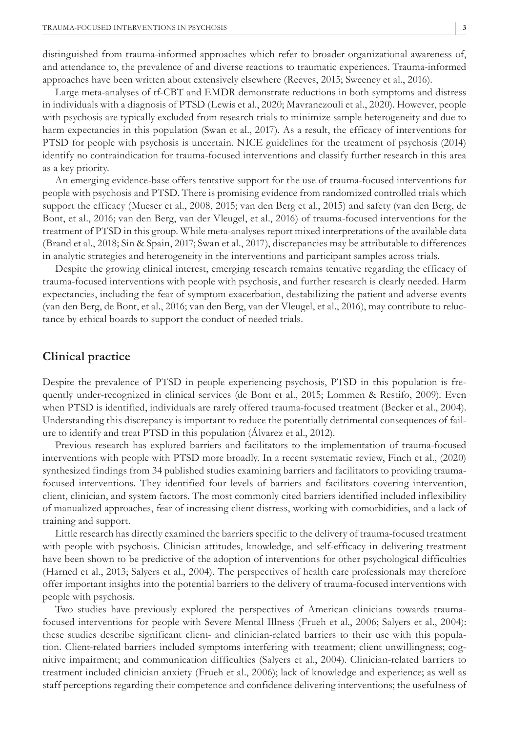distinguished from trauma-informed approaches which refer to broader organizational awareness of, and attendance to, the prevalence of and diverse reactions to traumatic experiences. Trauma-informed approaches have been written about extensively elsewhere (Reeves, 2015; Sweeney et al., 2016).

Large meta-analyses of tf-CBT and EMDR demonstrate reductions in both symptoms and distress in individuals with a diagnosis of PTSD (Lewis et al., 2020; Mavranezouli et al., 2020). However, people with psychosis are typically excluded from research trials to minimize sample heterogeneity and due to harm expectancies in this population (Swan et al., 2017). As a result, the efficacy of interventions for PTSD for people with psychosis is uncertain. NICE guidelines for the treatment of psychosis (2014) identify no contraindication for trauma-focused interventions and classify further research in this area as a key priority.

An emerging evidence-base offers tentative support for the use of trauma-focused interventions for people with psychosis and PTSD. There is promising evidence from randomized controlled trials which support the efficacy (Mueser et al., 2008, 2015; van den Berg et al., 2015) and safety (van den Berg, de Bont, et al., 2016; van den Berg, van der Vleugel, et al., 2016) of trauma-focused interventions for the treatment of PTSD in this group. While meta-analyses report mixed interpretations of the available data (Brand et al., 2018; Sin & Spain, 2017; Swan et al., 2017), discrepancies may be attributable to differences in analytic strategies and heterogeneity in the interventions and participant samples across trials.

Despite the growing clinical interest, emerging research remains tentative regarding the efficacy of trauma-focused interventions with people with psychosis, and further research is clearly needed. Harm expectancies, including the fear of symptom exacerbation, destabilizing the patient and adverse events (van den Berg, de Bont, et al., 2016; van den Berg, van der Vleugel, et al., 2016), may contribute to reluctance by ethical boards to support the conduct of needed trials.

#### **Clinical practice**

Despite the prevalence of PTSD in people experiencing psychosis, PTSD in this population is frequently under-recognized in clinical services (de Bont et al., 2015; Lommen & Restifo, 2009). Even when PTSD is identified, individuals are rarely offered trauma-focused treatment (Becker et al., 2004). Understanding this discrepancy is important to reduce the potentially detrimental consequences of failure to identify and treat PTSD in this population (Álvarez et al., 2012).

Previous research has explored barriers and facilitators to the implementation of trauma-focused interventions with people with PTSD more broadly. In a recent systematic review, Finch et al., (2020) synthesized findings from 34 published studies examining barriers and facilitators to providing traumafocused interventions. They identified four levels of barriers and facilitators covering intervention, client, clinician, and system factors. The most commonly cited barriers identified included inflexibility of manualized approaches, fear of increasing client distress, working with comorbidities, and a lack of training and support.

Little research has directly examined the barriers specific to the delivery of trauma-focused treatment with people with psychosis. Clinician attitudes, knowledge, and self-efficacy in delivering treatment have been shown to be predictive of the adoption of interventions for other psychological difficulties (Harned et al., 2013; Salyers et al., 2004). The perspectives of health care professionals may therefore offer important insights into the potential barriers to the delivery of trauma-focused interventions with people with psychosis.

Two studies have previously explored the perspectives of American clinicians towards traumafocused interventions for people with Severe Mental Illness (Frueh et al., 2006; Salyers et al., 2004): these studies describe significant client- and clinician-related barriers to their use with this population. Client-related barriers included symptoms interfering with treatment; client unwillingness; cognitive impairment; and communication difficulties (Salyers et al., 2004). Clinician-related barriers to treatment included clinician anxiety (Frueh et al., 2006); lack of knowledge and experience; as well as staff perceptions regarding their competence and confidence delivering interventions; the usefulness of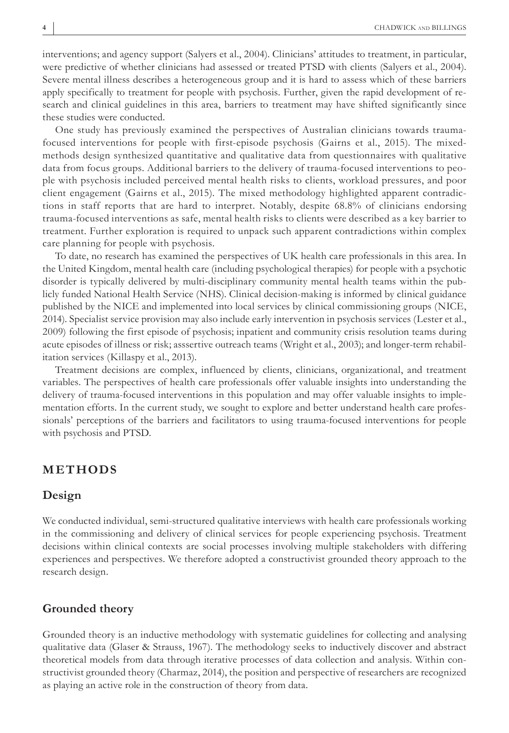interventions; and agency support (Salyers et al., 2004). Clinicians' attitudes to treatment, in particular, were predictive of whether clinicians had assessed or treated PTSD with clients (Salyers et al., 2004). Severe mental illness describes a heterogeneous group and it is hard to assess which of these barriers apply specifically to treatment for people with psychosis. Further, given the rapid development of research and clinical guidelines in this area, barriers to treatment may have shifted significantly since these studies were conducted.

One study has previously examined the perspectives of Australian clinicians towards traumafocused interventions for people with first-episode psychosis (Gairns et al., 2015). The mixedmethods design synthesized quantitative and qualitative data from questionnaires with qualitative data from focus groups. Additional barriers to the delivery of trauma-focused interventions to people with psychosis included perceived mental health risks to clients, workload pressures, and poor client engagement (Gairns et al., 2015). The mixed methodology highlighted apparent contradictions in staff reports that are hard to interpret. Notably, despite 68.8% of clinicians endorsing trauma-focused interventions as safe, mental health risks to clients were described as a key barrier to treatment. Further exploration is required to unpack such apparent contradictions within complex care planning for people with psychosis.

To date, no research has examined the perspectives of UK health care professionals in this area. In the United Kingdom, mental health care (including psychological therapies) for people with a psychotic disorder is typically delivered by multi-disciplinary community mental health teams within the publicly funded National Health Service (NHS). Clinical decision-making is informed by clinical guidance published by the NICE and implemented into local services by clinical commissioning groups (NICE, 2014). Specialist service provision may also include early intervention in psychosis services (Lester et al., 2009) following the first episode of psychosis; inpatient and community crisis resolution teams during acute episodes of illness or risk; asssertive outreach teams (Wright et al., 2003); and longer-term rehabilitation services (Killaspy et al., 2013).

Treatment decisions are complex, influenced by clients, clinicians, organizational, and treatment variables. The perspectives of health care professionals offer valuable insights into understanding the delivery of trauma-focused interventions in this population and may offer valuable insights to implementation efforts. In the current study, we sought to explore and better understand health care professionals' perceptions of the barriers and facilitators to using trauma-focused interventions for people with psychosis and PTSD.

# **METHODS**

#### **Design**

We conducted individual, semi-structured qualitative interviews with health care professionals working in the commissioning and delivery of clinical services for people experiencing psychosis. Treatment decisions within clinical contexts are social processes involving multiple stakeholders with differing experiences and perspectives. We therefore adopted a constructivist grounded theory approach to the research design.

#### **Grounded theory**

Grounded theory is an inductive methodology with systematic guidelines for collecting and analysing qualitative data (Glaser & Strauss, 1967). The methodology seeks to inductively discover and abstract theoretical models from data through iterative processes of data collection and analysis. Within constructivist grounded theory (Charmaz, 2014), the position and perspective of researchers are recognized as playing an active role in the construction of theory from data.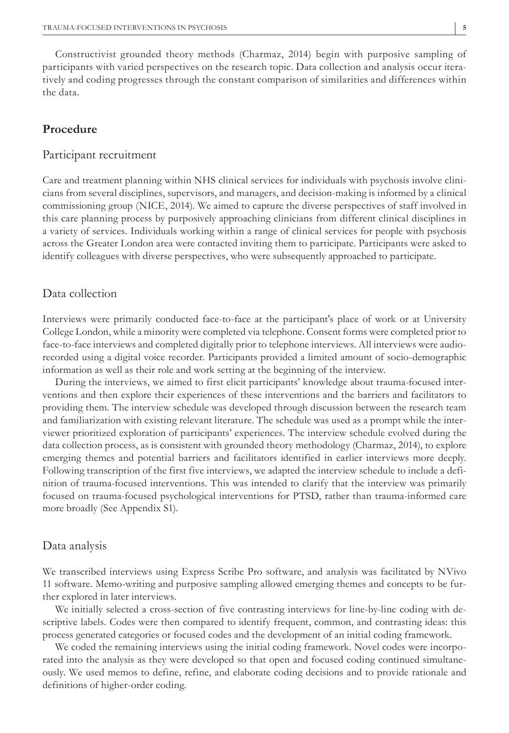Constructivist grounded theory methods (Charmaz, 2014) begin with purposive sampling of participants with varied perspectives on the research topic. Data collection and analysis occur iteratively and coding progresses through the constant comparison of similarities and differences within the data.

# **Procedure**

#### Participant recruitment

Care and treatment planning within NHS clinical services for individuals with psychosis involve clinicians from several disciplines, supervisors, and managers, and decision-making is informed by a clinical commissioning group (NICE, 2014). We aimed to capture the diverse perspectives of staff involved in this care planning process by purposively approaching clinicians from different clinical disciplines in a variety of services. Individuals working within a range of clinical services for people with psychosis across the Greater London area were contacted inviting them to participate. Participants were asked to identify colleagues with diverse perspectives, who were subsequently approached to participate.

#### Data collection

Interviews were primarily conducted face-to-face at the participant's place of work or at University College London, while a minority were completed via telephone. Consent forms were completed prior to face-to-face interviews and completed digitally prior to telephone interviews. All interviews were audiorecorded using a digital voice recorder. Participants provided a limited amount of socio-demographic information as well as their role and work setting at the beginning of the interview.

During the interviews, we aimed to first elicit participants' knowledge about trauma-focused interventions and then explore their experiences of these interventions and the barriers and facilitators to providing them. The interview schedule was developed through discussion between the research team and familiarization with existing relevant literature. The schedule was used as a prompt while the interviewer prioritized exploration of participants' experiences. The interview schedule evolved during the data collection process, as is consistent with grounded theory methodology (Charmaz, 2014), to explore emerging themes and potential barriers and facilitators identified in earlier interviews more deeply. Following transcription of the first five interviews, we adapted the interview schedule to include a definition of trauma-focused interventions. This was intended to clarify that the interview was primarily focused on trauma-focused psychological interventions for PTSD, rather than trauma-informed care more broadly (See Appendix S1).

#### Data analysis

We transcribed interviews using Express Scribe Pro software, and analysis was facilitated by NVivo 11 software. Memo-writing and purposive sampling allowed emerging themes and concepts to be further explored in later interviews.

We initially selected a cross-section of five contrasting interviews for line-by-line coding with descriptive labels. Codes were then compared to identify frequent, common, and contrasting ideas: this process generated categories or focused codes and the development of an initial coding framework.

We coded the remaining interviews using the initial coding framework. Novel codes were incorporated into the analysis as they were developed so that open and focused coding continued simultaneously. We used memos to define, refine, and elaborate coding decisions and to provide rationale and definitions of higher-order coding.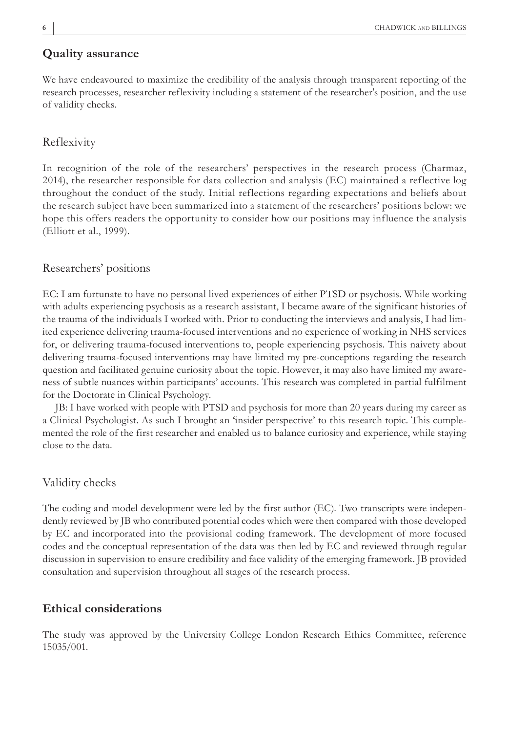#### **Quality assurance**

We have endeavoured to maximize the credibility of the analysis through transparent reporting of the research processes, researcher reflexivity including a statement of the researcher's position, and the use of validity checks.

#### Reflexivity

In recognition of the role of the researchers' perspectives in the research process (Charmaz, 2014), the researcher responsible for data collection and analysis (EC) maintained a reflective log throughout the conduct of the study. Initial reflections regarding expectations and beliefs about the research subject have been summarized into a statement of the researchers' positions below: we hope this offers readers the opportunity to consider how our positions may influence the analysis (Elliott et al., 1999).

#### Researchers' positions

EC: I am fortunate to have no personal lived experiences of either PTSD or psychosis. While working with adults experiencing psychosis as a research assistant, I became aware of the significant histories of the trauma of the individuals I worked with. Prior to conducting the interviews and analysis, I had limited experience delivering trauma-focused interventions and no experience of working in NHS services for, or delivering trauma-focused interventions to, people experiencing psychosis. This naivety about delivering trauma-focused interventions may have limited my pre-conceptions regarding the research question and facilitated genuine curiosity about the topic. However, it may also have limited my awareness of subtle nuances within participants' accounts. This research was completed in partial fulfilment for the Doctorate in Clinical Psychology.

JB: I have worked with people with PTSD and psychosis for more than 20 years during my career as a Clinical Psychologist. As such I brought an 'insider perspective' to this research topic. This complemented the role of the first researcher and enabled us to balance curiosity and experience, while staying close to the data.

## Validity checks

The coding and model development were led by the first author (EC). Two transcripts were independently reviewed by JB who contributed potential codes which were then compared with those developed by EC and incorporated into the provisional coding framework. The development of more focused codes and the conceptual representation of the data was then led by EC and reviewed through regular discussion in supervision to ensure credibility and face validity of the emerging framework. JB provided consultation and supervision throughout all stages of the research process.

#### **Ethical considerations**

The study was approved by the University College London Research Ethics Committee, reference 15035/001.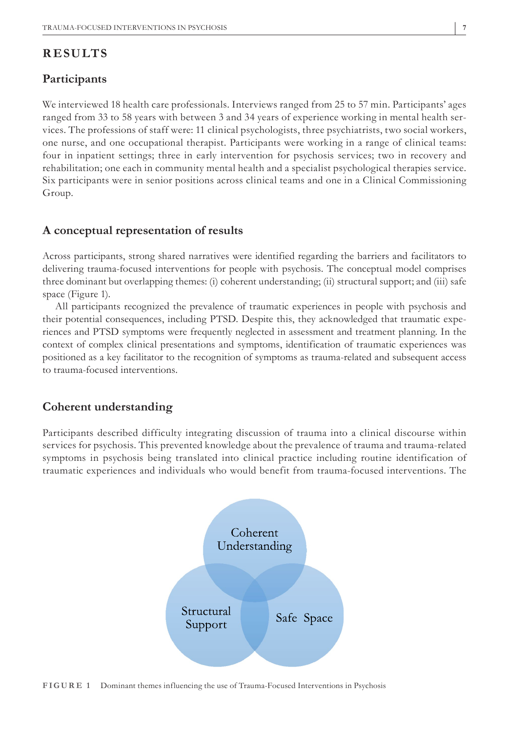# **RESULTS**

### **Participants**

We interviewed 18 health care professionals. Interviews ranged from 25 to 57 min. Participants' ages ranged from 33 to 58 years with between 3 and 34 years of experience working in mental health services. The professions of staff were: 11 clinical psychologists, three psychiatrists, two social workers, one nurse, and one occupational therapist. Participants were working in a range of clinical teams: four in inpatient settings; three in early intervention for psychosis services; two in recovery and rehabilitation; one each in community mental health and a specialist psychological therapies service. Six participants were in senior positions across clinical teams and one in a Clinical Commissioning Group.

# **A conceptual representation of results**

Across participants, strong shared narratives were identified regarding the barriers and facilitators to delivering trauma-focused interventions for people with psychosis. The conceptual model comprises three dominant but overlapping themes: (i) coherent understanding; (ii) structural support; and (iii) safe space (Figure 1).

All participants recognized the prevalence of traumatic experiences in people with psychosis and their potential consequences, including PTSD. Despite this, they acknowledged that traumatic experiences and PTSD symptoms were frequently neglected in assessment and treatment planning. In the context of complex clinical presentations and symptoms, identification of traumatic experiences was positioned as a key facilitator to the recognition of symptoms as trauma-related and subsequent access to trauma-focused interventions.

# **Coherent understanding**

Participants described difficulty integrating discussion of trauma into a clinical discourse within services for psychosis. This prevented knowledge about the prevalence of trauma and trauma-related symptoms in psychosis being translated into clinical practice including routine identification of traumatic experiences and individuals who would benefit from trauma-focused interventions. The



**FIGURE 1** Dominant themes influencing the use of Trauma-Focused Interventions in Psychosis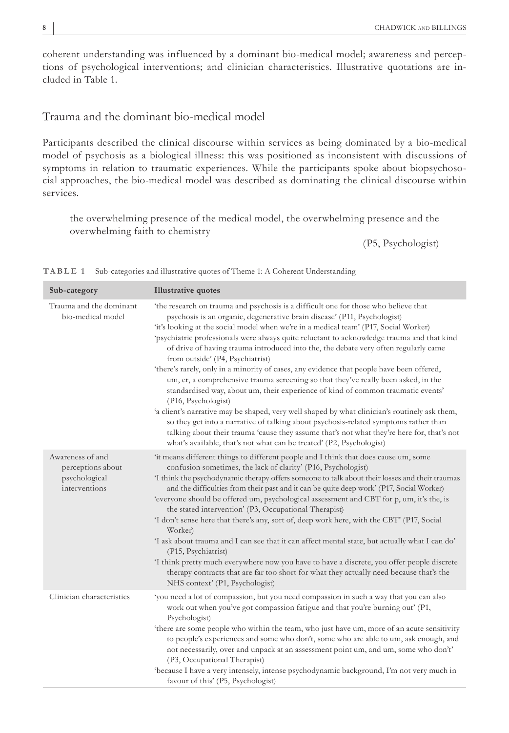coherent understanding was influenced by a dominant bio-medical model; awareness and perceptions of psychological interventions; and clinician characteristics. Illustrative quotations are included in Table 1.

# Trauma and the dominant bio-medical model

Participants described the clinical discourse within services as being dominated by a bio-medical model of psychosis as a biological illness: this was positioned as inconsistent with discussions of symptoms in relation to traumatic experiences. While the participants spoke about biopsychosocial approaches, the bio-medical model was described as dominating the clinical discourse within services.

the overwhelming presence of the medical model, the overwhelming presence and the overwhelming faith to chemistry

(P5, Psychologist)

| Sub-category                                                            | <b>Illustrative quotes</b>                                                                                                                                                                                                                                                                                                                                                                                                                                                                                                                                                                                                                                                                                                                                                                                                                                                                                                                                                                                                                                                                                                                    |
|-------------------------------------------------------------------------|-----------------------------------------------------------------------------------------------------------------------------------------------------------------------------------------------------------------------------------------------------------------------------------------------------------------------------------------------------------------------------------------------------------------------------------------------------------------------------------------------------------------------------------------------------------------------------------------------------------------------------------------------------------------------------------------------------------------------------------------------------------------------------------------------------------------------------------------------------------------------------------------------------------------------------------------------------------------------------------------------------------------------------------------------------------------------------------------------------------------------------------------------|
| Trauma and the dominant<br>bio-medical model                            | 'the research on trauma and psychosis is a difficult one for those who believe that<br>psychosis is an organic, degenerative brain disease' (P11, Psychologist)<br>'it's looking at the social model when we're in a medical team' (P17, Social Worker)<br>'psychiatric professionals were always quite reluctant to acknowledge trauma and that kind<br>of drive of having trauma introduced into the, the debate very often regularly came<br>from outside' (P4, Psychiatrist)<br>'there's rarely, only in a minority of cases, any evidence that people have been offered,<br>um, er, a comprehensive trauma screening so that they've really been asked, in the<br>standardised way, about um, their experience of kind of common traumatic events'<br>(P16, Psychologist)<br>'a client's narrative may be shaped, very well shaped by what clinician's routinely ask them,<br>so they get into a narrative of talking about psychosis-related symptoms rather than<br>talking about their trauma 'cause they assume that's not what they're here for, that's not<br>what's available, that's not what can be treated' (P2, Psychologist) |
| Awareness of and<br>perceptions about<br>psychological<br>interventions | 'it means different things to different people and I think that does cause um, some<br>confusion sometimes, the lack of clarity' (P16, Psychologist)<br>I think the psychodynamic therapy offers someone to talk about their losses and their traumas<br>and the difficulties from their past and it can be quite deep work' (P17, Social Worker)<br>'everyone should be offered um, psychological assessment and CBT for p, um, it's the, is<br>the stated intervention' (P3, Occupational Therapist)<br>'I don't sense here that there's any, sort of, deep work here, with the CBT' (P17, Social<br>Worker)<br>'I ask about trauma and I can see that it can affect mental state, but actually what I can do'<br>(P15, Psychiatrist)<br>I think pretty much everywhere now you have to have a discrete, you offer people discrete<br>therapy contracts that are far too short for what they actually need because that's the<br>NHS context' (P1, Psychologist)                                                                                                                                                                            |
| Clinician characteristics                                               | 'you need a lot of compassion, but you need compassion in such a way that you can also<br>work out when you've got compassion fatigue and that you're burning out' (P1,<br>Psychologist)<br>'there are some people who within the team, who just have um, more of an acute sensitivity<br>to people's experiences and some who don't, some who are able to um, ask enough, and<br>not necessarily, over and unpack at an assessment point um, and um, some who don't'<br>(P3, Occupational Therapist)<br>'because I have a very intensely, intense psychodynamic background, I'm not very much in<br>favour of this' (P5, Psychologist)                                                                                                                                                                                                                                                                                                                                                                                                                                                                                                       |

**TABLE 1** Sub-categories and illustrative quotes of Theme 1: A Coherent Understanding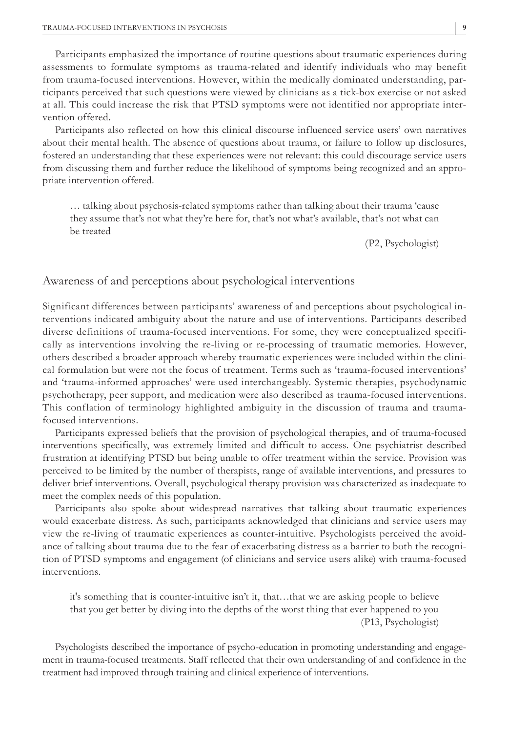Participants emphasized the importance of routine questions about traumatic experiences during assessments to formulate symptoms as trauma-related and identify individuals who may benefit from trauma-focused interventions. However, within the medically dominated understanding, participants perceived that such questions were viewed by clinicians as a tick-box exercise or not asked at all. This could increase the risk that PTSD symptoms were not identified nor appropriate intervention offered.

Participants also reflected on how this clinical discourse influenced service users' own narratives about their mental health. The absence of questions about trauma, or failure to follow up disclosures, fostered an understanding that these experiences were not relevant: this could discourage service users from discussing them and further reduce the likelihood of symptoms being recognized and an appropriate intervention offered.

… talking about psychosis-related symptoms rather than talking about their trauma 'cause they assume that's not what they're here for, that's not what's available, that's not what can be treated

(P2, Psychologist)

#### Awareness of and perceptions about psychological interventions

Significant differences between participants' awareness of and perceptions about psychological interventions indicated ambiguity about the nature and use of interventions. Participants described diverse definitions of trauma-focused interventions. For some, they were conceptualized specifically as interventions involving the re-living or re-processing of traumatic memories. However, others described a broader approach whereby traumatic experiences were included within the clinical formulation but were not the focus of treatment. Terms such as 'trauma-focused interventions' and 'trauma-informed approaches' were used interchangeably. Systemic therapies, psychodynamic psychotherapy, peer support, and medication were also described as trauma-focused interventions. This conflation of terminology highlighted ambiguity in the discussion of trauma and traumafocused interventions.

Participants expressed beliefs that the provision of psychological therapies, and of trauma-focused interventions specifically, was extremely limited and difficult to access. One psychiatrist described frustration at identifying PTSD but being unable to offer treatment within the service. Provision was perceived to be limited by the number of therapists, range of available interventions, and pressures to deliver brief interventions. Overall, psychological therapy provision was characterized as inadequate to meet the complex needs of this population.

Participants also spoke about widespread narratives that talking about traumatic experiences would exacerbate distress. As such, participants acknowledged that clinicians and service users may view the re-living of traumatic experiences as counter-intuitive. Psychologists perceived the avoidance of talking about trauma due to the fear of exacerbating distress as a barrier to both the recognition of PTSD symptoms and engagement (of clinicians and service users alike) with trauma-focused interventions.

it's something that is counter-intuitive isn't it, that…that we are asking people to believe that you get better by diving into the depths of the worst thing that ever happened to you (P13, Psychologist)

Psychologists described the importance of psycho-education in promoting understanding and engagement in trauma-focused treatments. Staff reflected that their own understanding of and confidence in the treatment had improved through training and clinical experience of interventions.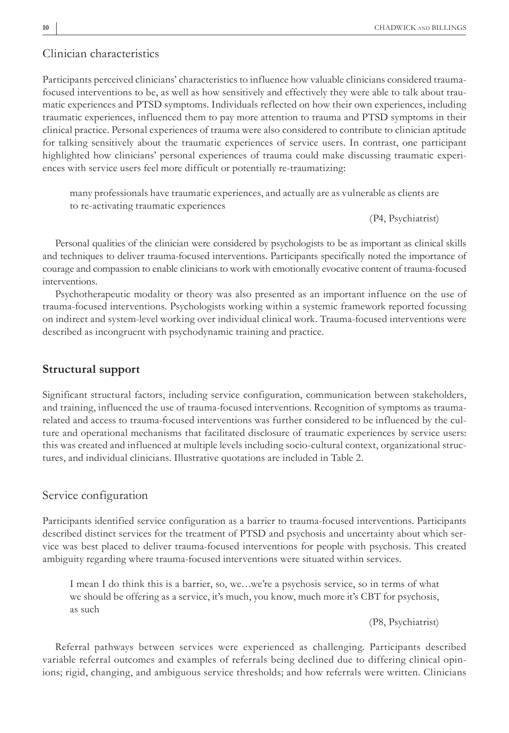#### Clinician characteristics

Participants perceived clinicians' characteristics to influence how valuable clinicians considered traumafocused interventions to be, as well as how sensitively and effectively they were able to talk about traumatic experiences and PTSD symptoms. Individuals reflected on how their own experiences, including traumatic experiences, influenced them to pay more attention to trauma and PTSD symptoms in their clinical practice. Personal experiences of trauma were also considered to contribute to clinician aptitude for talking sensitively about the traumatic experiences of service users. In contrast, one participant highlighted how clinicians' personal experiences of trauma could make discussing traumatic experiences with service users feel more difficult or potentially re-traumatizing:

many professionals have traumatic experiences, and actually are as vulnerable as clients are to re-activating traumatic experiences

(P4, Psychiatrist)

Personal qualities of the clinician were considered by psychologists to be as important as clinical skills and techniques to deliver trauma-focused interventions. Participants specifically noted the importance of courage and compassion to enable clinicians to work with emotionally evocative content of trauma-focused interventions.

Psychotherapeutic modality or theory was also presented as an important influence on the use of trauma-focused interventions. Psychologists working within a systemic framework reported focussing on indirect and system-level working over individual clinical work. Trauma-focused interventions were described as incongruent with psychodynamic training and practice.

# **Structural support**

Significant structural factors, including service configuration, communication between stakeholders, and training, influenced the use of trauma-focused interventions. Recognition of symptoms as traumarelated and access to trauma-focused interventions was further considered to be influenced by the culture and operational mechanisms that facilitated disclosure of traumatic experiences by service users: this was created and influenced at multiple levels including socio-cultural context, organizational structures, and individual clinicians. Illustrative quotations are included in Table 2.

#### Service configuration

Participants identified service configuration as a barrier to trauma-focused interventions. Participants described distinct services for the treatment of PTSD and psychosis and uncertainty about which service was best placed to deliver trauma-focused interventions for people with psychosis. This created ambiguity regarding where trauma-focused interventions were situated within services.

I mean I do think this is a barrier, so, we…we're a psychosis service, so in terms of what we should be offering as a service, it's much, you know, much more it's CBT for psychosis, as such

(P8, Psychiatrist)

Referral pathways between services were experienced as challenging. Participants described variable referral outcomes and examples of referrals being declined due to differing clinical opinions; rigid, changing, and ambiguous service thresholds; and how referrals were written. Clinicians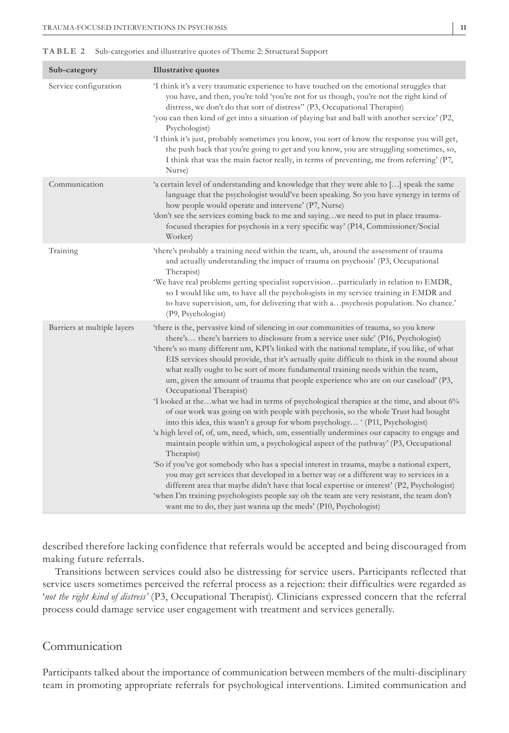#### **TABLE 2** Sub-categories and illustrative quotes of Theme 2: Structural Support

| Sub-category                | <b>Illustrative quotes</b>                                                                                                                                                                                                                                                                                                                                                                                                                                                                                                                                                                                                                                                                                                                                                                                                                                                                                                                                                                                                                                                                                                                                                                                                                                                                                                                                                                                                                                                                                       |
|-----------------------------|------------------------------------------------------------------------------------------------------------------------------------------------------------------------------------------------------------------------------------------------------------------------------------------------------------------------------------------------------------------------------------------------------------------------------------------------------------------------------------------------------------------------------------------------------------------------------------------------------------------------------------------------------------------------------------------------------------------------------------------------------------------------------------------------------------------------------------------------------------------------------------------------------------------------------------------------------------------------------------------------------------------------------------------------------------------------------------------------------------------------------------------------------------------------------------------------------------------------------------------------------------------------------------------------------------------------------------------------------------------------------------------------------------------------------------------------------------------------------------------------------------------|
| Service configuration       | I think it's a very traumatic experience to have touched on the emotional struggles that<br>you have, and then, you're told 'you're not for us though, you're not the right kind of<br>distress, we don't do that sort of distress" (P3, Occupational Therapist)<br>'you can then kind of get into a situation of playing bat and ball with another service' (P2,<br>Psychologist)<br>I think it's just, probably sometimes you know, you sort of know the response you will get,<br>the push back that you're going to get and you know, you are struggling sometimes, so,<br>I think that was the main factor really, in terms of preventing, me from referring' (P7,<br>Nurse)                                                                                                                                                                                                                                                                                                                                                                                                                                                                                                                                                                                                                                                                                                                                                                                                                                |
| Communication               | 'a certain level of understanding and knowledge that they were able to [] speak the same<br>language that the psychologist would've been speaking. So you have synergy in terms of<br>how people would operate and intervene' (P7, Nurse)<br>'don't see the services coming back to me and sayingwe need to put in place trauma-<br>focused therapies for psychosis in a very specific way' (P14, Commissioner/Social<br>Worker)                                                                                                                                                                                                                                                                                                                                                                                                                                                                                                                                                                                                                                                                                                                                                                                                                                                                                                                                                                                                                                                                                 |
| Training                    | 'there's probably a training need within the team, uh, around the assessment of trauma<br>and actually understanding the impact of trauma on psychosis' (P3, Occupational<br>Therapist)<br>'We have real problems getting specialist supervisionparticularly in relation to EMDR,<br>so I would like um, to have all the psychologists in my service training in EMDR and<br>to have supervision, um, for delivering that with apsychosis population. No chance.'<br>(P9, Psychologist)                                                                                                                                                                                                                                                                                                                                                                                                                                                                                                                                                                                                                                                                                                                                                                                                                                                                                                                                                                                                                          |
| Barriers at multiple layers | 'there is the, pervasive kind of silencing in our communities of trauma, so you know<br>there's there's barriers to disclosure from a service user side' (P16, Psychologist)<br>'there's so many different um, KPI's linked with the national template, if you like, of what<br>EIS services should provide, that it's actually quite difficult to think in the round about<br>what really ought to be sort of more fundamental training needs within the team,<br>um, given the amount of trauma that people experience who are on our caseload' (P3,<br>Occupational Therapist)<br>'I looked at thewhat we had in terms of psychological therapies at the time, and about 6%<br>of our work was going on with people with psychosis, so the whole Trust had bought<br>into this idea, this wasn't a group for whom psychology '(P11, Psychologist)<br>'a high level of, of, um, need, which, um, essentially undermines our capacity to engage and<br>maintain people within um, a psychological aspect of the pathway' (P3, Occupational<br>Therapist)<br>'So if you've got somebody who has a special interest in trauma, maybe a national expert,<br>you may get services that developed in a better way or a different way to services in a<br>different area that maybe didn't have that local expertise or interest' (P2, Psychologist)<br>'when I'm training psychologists people say oh the team are very resistant, the team don't<br>want me to do, they just wanna up the meds' (P10, Psychologist) |

described therefore lacking confidence that referrals would be accepted and being discouraged from making future referrals.

Transitions between services could also be distressing for service users. Participants reflected that service users sometimes perceived the referral process as a rejection: their difficulties were regarded as '*not the right kind of distress'* (P3, Occupational Therapist). Clinicians expressed concern that the referral process could damage service user engagement with treatment and services generally.

# Communication

Participants talked about the importance of communication between members of the multi-disciplinary team in promoting appropriate referrals for psychological interventions. Limited communication and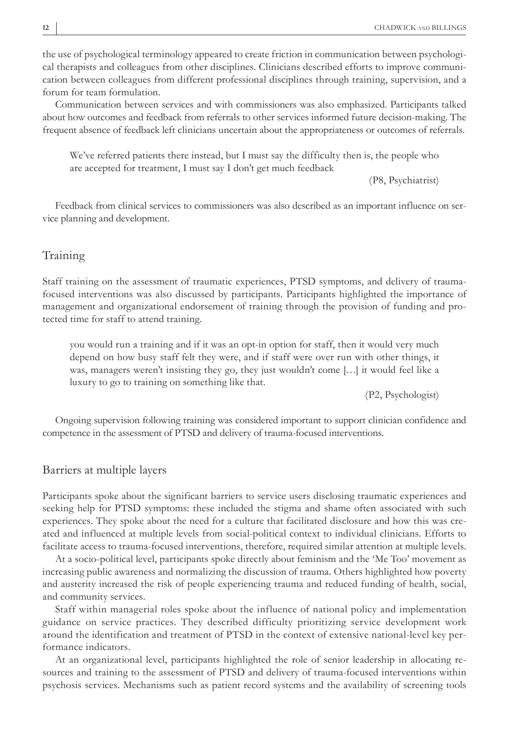the use of psychological terminology appeared to create friction in communication between psychological therapists and colleagues from other disciplines. Clinicians described efforts to improve communication between colleagues from different professional disciplines through training, supervision, and a forum for team formulation.

Communication between services and with commissioners was also emphasized. Participants talked about how outcomes and feedback from referrals to other services informed future decision-making. The frequent absence of feedback left clinicians uncertain about the appropriateness or outcomes of referrals.

We've referred patients there instead, but I must say the difficulty then is, the people who are accepted for treatment, I must say I don't get much feedback

(P8, Psychiatrist)

Feedback from clinical services to commissioners was also described as an important influence on service planning and development.

#### Training

Staff training on the assessment of traumatic experiences, PTSD symptoms, and delivery of traumafocused interventions was also discussed by participants. Participants highlighted the importance of management and organizational endorsement of training through the provision of funding and protected time for staff to attend training.

you would run a training and if it was an opt-in option for staff, then it would very much depend on how busy staff felt they were, and if staff were over run with other things, it was, managers weren't insisting they go, they just wouldn't come […] it would feel like a luxury to go to training on something like that.

(P2, Psychologist)

Ongoing supervision following training was considered important to support clinician confidence and competence in the assessment of PTSD and delivery of trauma-focused interventions.

#### Barriers at multiple layers

Participants spoke about the significant barriers to service users disclosing traumatic experiences and seeking help for PTSD symptoms: these included the stigma and shame often associated with such experiences. They spoke about the need for a culture that facilitated disclosure and how this was created and influenced at multiple levels from social-political context to individual clinicians. Efforts to facilitate access to trauma-focused interventions, therefore, required similar attention at multiple levels.

At a socio-political level, participants spoke directly about feminism and the 'Me Too' movement as increasing public awareness and normalizing the discussion of trauma. Others highlighted how poverty and austerity increased the risk of people experiencing trauma and reduced funding of health, social, and community services.

Staff within managerial roles spoke about the influence of national policy and implementation guidance on service practices. They described difficulty prioritizing service development work around the identification and treatment of PTSD in the context of extensive national-level key performance indicators.

At an organizational level, participants highlighted the role of senior leadership in allocating resources and training to the assessment of PTSD and delivery of trauma-focused interventions within psychosis services. Mechanisms such as patient record systems and the availability of screening tools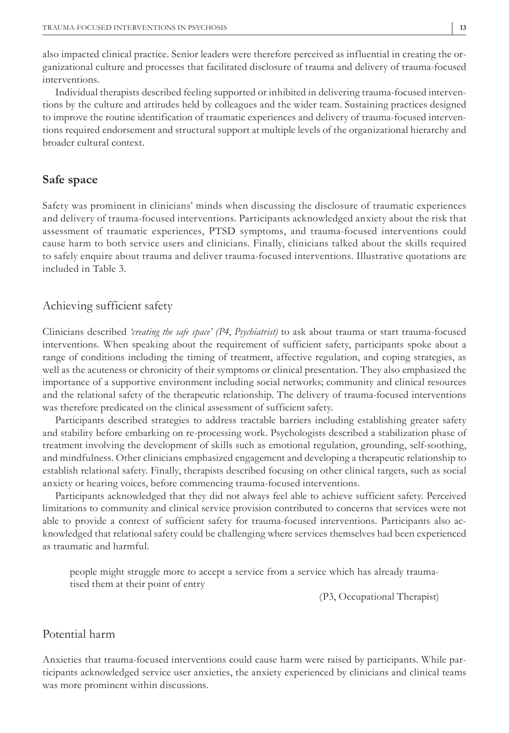also impacted clinical practice. Senior leaders were therefore perceived as influential in creating the organizational culture and processes that facilitated disclosure of trauma and delivery of trauma-focused interventions.

Individual therapists described feeling supported or inhibited in delivering trauma-focused interventions by the culture and attitudes held by colleagues and the wider team. Sustaining practices designed to improve the routine identification of traumatic experiences and delivery of trauma-focused interventions required endorsement and structural support at multiple levels of the organizational hierarchy and broader cultural context.

#### **Safe space**

Safety was prominent in clinicians' minds when discussing the disclosure of traumatic experiences and delivery of trauma-focused interventions. Participants acknowledged anxiety about the risk that assessment of traumatic experiences, PTSD symptoms, and trauma-focused interventions could cause harm to both service users and clinicians. Finally, clinicians talked about the skills required to safely enquire about trauma and deliver trauma-focused interventions. Illustrative quotations are included in Table 3.

#### Achieving sufficient safety

Clinicians described *'creating the safe space' (P4*, *Psychiatrist)* to ask about trauma or start trauma-focused interventions. When speaking about the requirement of sufficient safety, participants spoke about a range of conditions including the timing of treatment, affective regulation, and coping strategies, as well as the acuteness or chronicity of their symptoms or clinical presentation. They also emphasized the importance of a supportive environment including social networks; community and clinical resources and the relational safety of the therapeutic relationship. The delivery of trauma-focused interventions was therefore predicated on the clinical assessment of sufficient safety.

Participants described strategies to address tractable barriers including establishing greater safety and stability before embarking on re-processing work. Psychologists described a stabilization phase of treatment involving the development of skills such as emotional regulation, grounding, self-soothing, and mindfulness. Other clinicians emphasized engagement and developing a therapeutic relationship to establish relational safety. Finally, therapists described focusing on other clinical targets, such as social anxiety or hearing voices, before commencing trauma-focused interventions.

Participants acknowledged that they did not always feel able to achieve sufficient safety. Perceived limitations to community and clinical service provision contributed to concerns that services were not able to provide a context of sufficient safety for trauma-focused interventions. Participants also acknowledged that relational safety could be challenging where services themselves had been experienced as traumatic and harmful.

people might struggle more to accept a service from a service which has already traumatised them at their point of entry

(P3, Occupational Therapist)

### Potential harm

Anxieties that trauma-focused interventions could cause harm were raised by participants. While participants acknowledged service user anxieties, the anxiety experienced by clinicians and clinical teams was more prominent within discussions.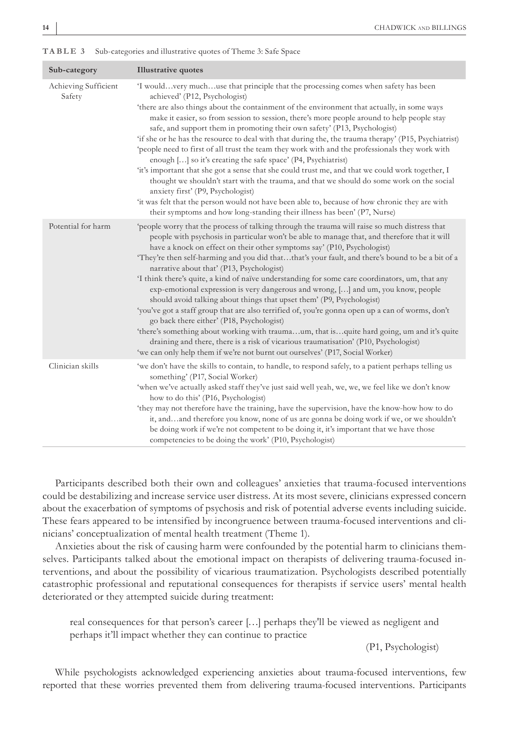|  |  | TABLE 3 Sub-categories and illustrative quotes of Theme 3: Safe Space |  |  |
|--|--|-----------------------------------------------------------------------|--|--|
|--|--|-----------------------------------------------------------------------|--|--|

| Sub-category                   | <b>Illustrative quotes</b>                                                                                                                                                                                                                                                                                                                                                                                                                                                                                                                                                                                                                                                                                                                                                                                                                                                                                                                                                                                                                                                                                       |
|--------------------------------|------------------------------------------------------------------------------------------------------------------------------------------------------------------------------------------------------------------------------------------------------------------------------------------------------------------------------------------------------------------------------------------------------------------------------------------------------------------------------------------------------------------------------------------------------------------------------------------------------------------------------------------------------------------------------------------------------------------------------------------------------------------------------------------------------------------------------------------------------------------------------------------------------------------------------------------------------------------------------------------------------------------------------------------------------------------------------------------------------------------|
| Achieving Sufficient<br>Safety | 'I wouldvery muchuse that principle that the processing comes when safety has been<br>achieved' (P12, Psychologist)<br>'there are also things about the containment of the environment that actually, in some ways<br>make it easier, so from session to session, there's more people around to help people stay<br>safe, and support them in promoting their own safety' (P13, Psychologist)<br>'if she or he has the resource to deal with that during the, the trauma therapy' (P15, Psychiatrist)<br>'people need to first of all trust the team they work with and the professionals they work with<br>enough [] so it's creating the safe space' (P4, Psychiatrist)<br>'it's important that she got a sense that she could trust me, and that we could work together, I<br>thought we shouldn't start with the trauma, and that we should do some work on the social<br>anxiety first' (P9, Psychologist)<br>'it was felt that the person would not have been able to, because of how chronic they are with<br>their symptoms and how long-standing their illness has been' (P7, Nurse)                    |
| Potential for harm             | people worry that the process of talking through the trauma will raise so much distress that<br>people with psychosis in particular won't be able to manage that, and therefore that it will<br>have a knock on effect on their other symptoms say' (P10, Psychologist)<br>'They're then self-harming and you did thatthat's your fault, and there's bound to be a bit of a<br>narrative about that' (P13, Psychologist)<br>'I think there's quite, a kind of naïve understanding for some care coordinators, um, that any<br>exp-emotional expression is very dangerous and wrong, [] and um, you know, people<br>should avoid talking about things that upset them' (P9, Psychologist)<br>'you've got a staff group that are also terrified of, you're gonna open up a can of worms, don't<br>go back there either' (P18, Psychologist)<br>'there's something about working with traumaum, that isquite hard going, um and it's quite<br>draining and there, there is a risk of vicarious traumatisation' (P10, Psychologist)<br>'we can only help them if we're not burnt out ourselves' (P17, Social Worker) |
| Clinician skills               | 'we don't have the skills to contain, to handle, to respond safely, to a patient perhaps telling us<br>something' (P17, Social Worker)<br>'when we've actually asked staff they've just said well yeah, we, we, we feel like we don't know<br>how to do this' (P16, Psychologist)<br>'they may not therefore have the training, have the supervision, have the know-how how to do<br>it, and  and therefore you know, none of us are gonna be doing work if we, or we shouldn't<br>be doing work if we're not competent to be doing it, it's important that we have those<br>competencies to be doing the work' (P10, Psychologist)                                                                                                                                                                                                                                                                                                                                                                                                                                                                              |

Participants described both their own and colleagues' anxieties that trauma-focused interventions could be destabilizing and increase service user distress. At its most severe, clinicians expressed concern about the exacerbation of symptoms of psychosis and risk of potential adverse events including suicide. These fears appeared to be intensified by incongruence between trauma-focused interventions and clinicians' conceptualization of mental health treatment (Theme 1).

Anxieties about the risk of causing harm were confounded by the potential harm to clinicians themselves. Participants talked about the emotional impact on therapists of delivering trauma-focused interventions, and about the possibility of vicarious traumatization. Psychologists described potentially catastrophic professional and reputational consequences for therapists if service users' mental health deteriorated or they attempted suicide during treatment:

real consequences for that person's career […] perhaps they'll be viewed as negligent and perhaps it'll impact whether they can continue to practice

(P1, Psychologist)

While psychologists acknowledged experiencing anxieties about trauma-focused interventions, few reported that these worries prevented them from delivering trauma-focused interventions. Participants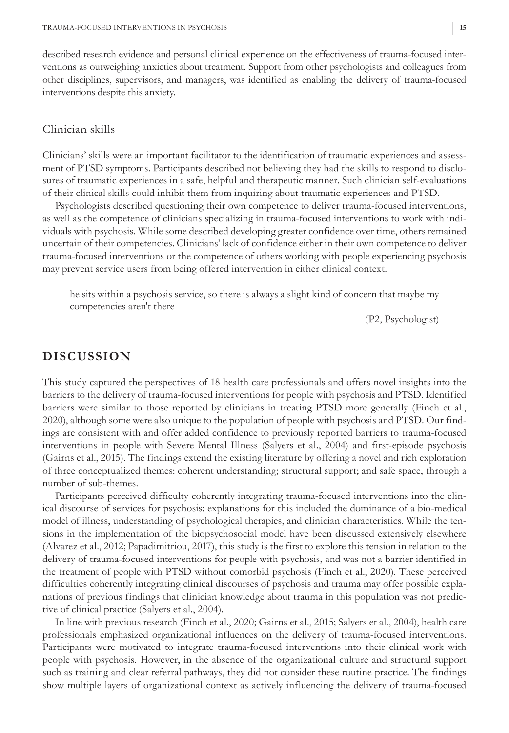described research evidence and personal clinical experience on the effectiveness of trauma-focused interventions as outweighing anxieties about treatment. Support from other psychologists and colleagues from other disciplines, supervisors, and managers, was identified as enabling the delivery of trauma-focused interventions despite this anxiety.

# Clinician skills

Clinicians' skills were an important facilitator to the identification of traumatic experiences and assessment of PTSD symptoms. Participants described not believing they had the skills to respond to disclosures of traumatic experiences in a safe, helpful and therapeutic manner. Such clinician self-evaluations of their clinical skills could inhibit them from inquiring about traumatic experiences and PTSD.

Psychologists described questioning their own competence to deliver trauma-focused interventions, as well as the competence of clinicians specializing in trauma-focused interventions to work with individuals with psychosis. While some described developing greater confidence over time, others remained uncertain of their competencies. Clinicians' lack of confidence either in their own competence to deliver trauma-focused interventions or the competence of others working with people experiencing psychosis may prevent service users from being offered intervention in either clinical context.

he sits within a psychosis service, so there is always a slight kind of concern that maybe my competencies aren't there

(P2, Psychologist)

# **DISCUSSION**

This study captured the perspectives of 18 health care professionals and offers novel insights into the barriers to the delivery of trauma-focused interventions for people with psychosis and PTSD. Identified barriers were similar to those reported by clinicians in treating PTSD more generally (Finch et al., 2020), although some were also unique to the population of people with psychosis and PTSD. Our findings are consistent with and offer added confidence to previously reported barriers to trauma-focused interventions in people with Severe Mental Illness (Salyers et al., 2004) and first-episode psychosis (Gairns et al., 2015). The findings extend the existing literature by offering a novel and rich exploration of three conceptualized themes: coherent understanding; structural support; and safe space, through a number of sub-themes.

Participants perceived difficulty coherently integrating trauma-focused interventions into the clinical discourse of services for psychosis: explanations for this included the dominance of a bio-medical model of illness, understanding of psychological therapies, and clinician characteristics. While the tensions in the implementation of the biopsychosocial model have been discussed extensively elsewhere (Alvarez et al., 2012; Papadimitriou, 2017), this study is the first to explore this tension in relation to the delivery of trauma-focused interventions for people with psychosis, and was not a barrier identified in the treatment of people with PTSD without comorbid psychosis (Finch et al., 2020). These perceived difficulties coherently integrating clinical discourses of psychosis and trauma may offer possible explanations of previous findings that clinician knowledge about trauma in this population was not predictive of clinical practice (Salyers et al., 2004).

In line with previous research (Finch et al., 2020; Gairns et al., 2015; Salyers et al., 2004), health care professionals emphasized organizational influences on the delivery of trauma-focused interventions. Participants were motivated to integrate trauma-focused interventions into their clinical work with people with psychosis. However, in the absence of the organizational culture and structural support such as training and clear referral pathways, they did not consider these routine practice. The findings show multiple layers of organizational context as actively influencing the delivery of trauma-focused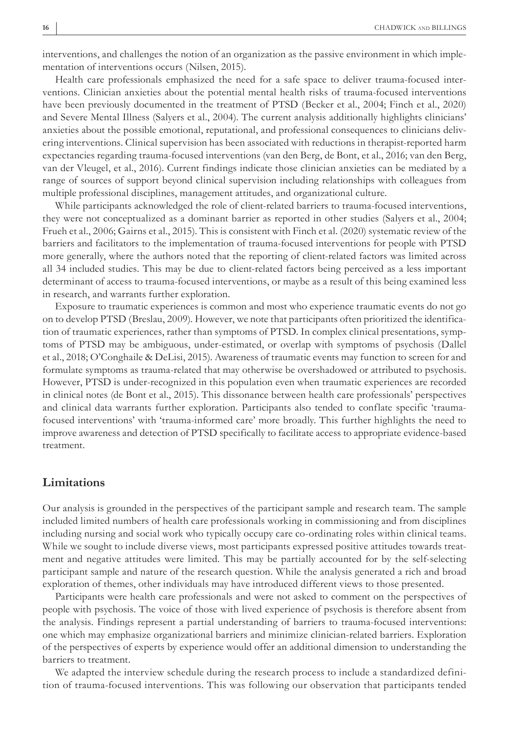interventions, and challenges the notion of an organization as the passive environment in which implementation of interventions occurs (Nilsen, 2015).

Health care professionals emphasized the need for a safe space to deliver trauma-focused interventions. Clinician anxieties about the potential mental health risks of trauma-focused interventions have been previously documented in the treatment of PTSD (Becker et al., 2004; Finch et al., 2020) and Severe Mental Illness (Salyers et al., 2004). The current analysis additionally highlights clinicians' anxieties about the possible emotional, reputational, and professional consequences to clinicians delivering interventions. Clinical supervision has been associated with reductions in therapist-reported harm expectancies regarding trauma-focused interventions (van den Berg, de Bont, et al., 2016; van den Berg, van der Vleugel, et al., 2016). Current findings indicate those clinician anxieties can be mediated by a range of sources of support beyond clinical supervision including relationships with colleagues from multiple professional disciplines, management attitudes, and organizational culture.

While participants acknowledged the role of client-related barriers to trauma-focused interventions, they were not conceptualized as a dominant barrier as reported in other studies (Salyers et al., 2004; Frueh et al., 2006; Gairns et al., 2015). This is consistent with Finch et al. (2020) systematic review of the barriers and facilitators to the implementation of trauma-focused interventions for people with PTSD more generally, where the authors noted that the reporting of client-related factors was limited across all 34 included studies. This may be due to client-related factors being perceived as a less important determinant of access to trauma-focused interventions, or maybe as a result of this being examined less in research, and warrants further exploration.

Exposure to traumatic experiences is common and most who experience traumatic events do not go on to develop PTSD (Breslau, 2009). However, we note that participants often prioritized the identification of traumatic experiences, rather than symptoms of PTSD. In complex clinical presentations, symptoms of PTSD may be ambiguous, under-estimated, or overlap with symptoms of psychosis (Dallel et al., 2018; O'Conghaile & DeLisi, 2015). Awareness of traumatic events may function to screen for and formulate symptoms as trauma-related that may otherwise be overshadowed or attributed to psychosis. However, PTSD is under-recognized in this population even when traumatic experiences are recorded in clinical notes (de Bont et al., 2015). This dissonance between health care professionals' perspectives and clinical data warrants further exploration. Participants also tended to conflate specific 'traumafocused interventions' with 'trauma-informed care' more broadly. This further highlights the need to improve awareness and detection of PTSD specifically to facilitate access to appropriate evidence-based treatment.

#### **Limitations**

Our analysis is grounded in the perspectives of the participant sample and research team. The sample included limited numbers of health care professionals working in commissioning and from disciplines including nursing and social work who typically occupy care co-ordinating roles within clinical teams. While we sought to include diverse views, most participants expressed positive attitudes towards treatment and negative attitudes were limited. This may be partially accounted for by the self-selecting participant sample and nature of the research question. While the analysis generated a rich and broad exploration of themes, other individuals may have introduced different views to those presented.

Participants were health care professionals and were not asked to comment on the perspectives of people with psychosis. The voice of those with lived experience of psychosis is therefore absent from the analysis. Findings represent a partial understanding of barriers to trauma-focused interventions: one which may emphasize organizational barriers and minimize clinician-related barriers. Exploration of the perspectives of experts by experience would offer an additional dimension to understanding the barriers to treatment.

We adapted the interview schedule during the research process to include a standardized definition of trauma-focused interventions. This was following our observation that participants tended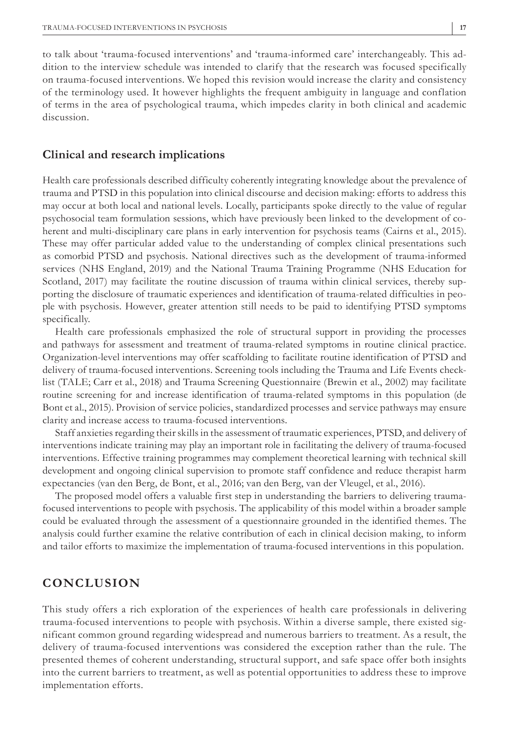to talk about 'trauma-focused interventions' and 'trauma-informed care' interchangeably. This addition to the interview schedule was intended to clarify that the research was focused specifically on trauma-focused interventions. We hoped this revision would increase the clarity and consistency of the terminology used. It however highlights the frequent ambiguity in language and conflation of terms in the area of psychological trauma, which impedes clarity in both clinical and academic discussion.

#### **Clinical and research implications**

Health care professionals described difficulty coherently integrating knowledge about the prevalence of trauma and PTSD in this population into clinical discourse and decision making: efforts to address this may occur at both local and national levels. Locally, participants spoke directly to the value of regular psychosocial team formulation sessions, which have previously been linked to the development of coherent and multi-disciplinary care plans in early intervention for psychosis teams (Cairns et al., 2015). These may offer particular added value to the understanding of complex clinical presentations such as comorbid PTSD and psychosis. National directives such as the development of trauma-informed services (NHS England, 2019) and the National Trauma Training Programme (NHS Education for Scotland, 2017) may facilitate the routine discussion of trauma within clinical services, thereby supporting the disclosure of traumatic experiences and identification of trauma-related difficulties in people with psychosis. However, greater attention still needs to be paid to identifying PTSD symptoms specifically.

Health care professionals emphasized the role of structural support in providing the processes and pathways for assessment and treatment of trauma-related symptoms in routine clinical practice. Organization-level interventions may offer scaffolding to facilitate routine identification of PTSD and delivery of trauma-focused interventions. Screening tools including the Trauma and Life Events checklist (TALE; Carr et al., 2018) and Trauma Screening Questionnaire (Brewin et al., 2002) may facilitate routine screening for and increase identification of trauma-related symptoms in this population (de Bont et al., 2015). Provision of service policies, standardized processes and service pathways may ensure clarity and increase access to trauma-focused interventions.

Staff anxieties regarding their skills in the assessment of traumatic experiences, PTSD, and delivery of interventions indicate training may play an important role in facilitating the delivery of trauma-focused interventions. Effective training programmes may complement theoretical learning with technical skill development and ongoing clinical supervision to promote staff confidence and reduce therapist harm expectancies (van den Berg, de Bont, et al., 2016; van den Berg, van der Vleugel, et al., 2016).

The proposed model offers a valuable first step in understanding the barriers to delivering traumafocused interventions to people with psychosis. The applicability of this model within a broader sample could be evaluated through the assessment of a questionnaire grounded in the identified themes. The analysis could further examine the relative contribution of each in clinical decision making, to inform and tailor efforts to maximize the implementation of trauma-focused interventions in this population.

# **CONCLUSION**

This study offers a rich exploration of the experiences of health care professionals in delivering trauma-focused interventions to people with psychosis. Within a diverse sample, there existed significant common ground regarding widespread and numerous barriers to treatment. As a result, the delivery of trauma-focused interventions was considered the exception rather than the rule. The presented themes of coherent understanding, structural support, and safe space offer both insights into the current barriers to treatment, as well as potential opportunities to address these to improve implementation efforts.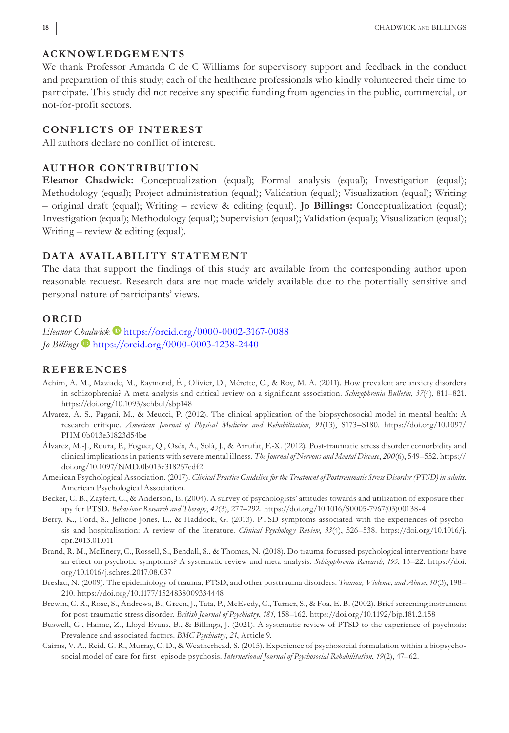#### **ACKNOWLEDGEMENTS**

We thank Professor Amanda C de C Williams for supervisory support and feedback in the conduct and preparation of this study; each of the healthcare professionals who kindly volunteered their time to participate. This study did not receive any specific funding from agencies in the public, commercial, or not-for-profit sectors.

#### **CONFLICTS OF INTEREST**

All authors declare no conflict of interest.

# **AUTHOR CONTRIBUTION**

**Eleanor Chadwick:** Conceptualization (equal); Formal analysis (equal); Investigation (equal); Methodology (equal); Project administration (equal); Validation (equal); Visualization (equal); Writing – original draft (equal); Writing – review & editing (equal). **Jo Billings:** Conceptualization (equal); Investigation (equal); Methodology (equal); Supervision (equal); Validation (equal); Visualization (equal); Writing – review & editing (equal).

# **DATA AVAILABILITY STATEMENT**

The data that support the findings of this study are available from the corresponding author upon reasonable request. Research data are not made widely available due to the potentially sensitive and personal nature of participants' views.

#### **ORCID**

*Eleanor [Chad](https://orcid.org/0000-0003-1238-2440)wick* **b** <https://orcid.org/0000-0002-3167-0088> *Jo Billings* <https://orcid.org/0000-0003-1238-2440>

#### **REFERENCES**

- Achim, A. M., Maziade, M., Raymond, É., Olivier, D., Mérette, C., & Roy, M. A. (2011). How prevalent are anxiety disorders in schizophrenia? A meta-analysis and critical review on a significant association. *Schizophrenia Bulletin*, *37*(4), 811–821. <https://doi.org/10.1093/schbul/sbp148>
- Alvarez, A. S., Pagani, M., & Meucci, P. (2012). The clinical application of the biopsychosocial model in mental health: A research critique. *American Journal of Physical Medicine and Rehabilitation*, *91*(13), S173–S180. [https://doi.org/10.1097/](https://doi.org/10.1097/PHM.0b013e31823d54be) [PHM.0b013e31823d54be](https://doi.org/10.1097/PHM.0b013e31823d54be)
- Álvarez, M.-J., Roura, P., Foguet, Q., Osés, A., Solà, J., & Arrufat, F.-X. (2012). Post-traumatic stress disorder comorbidity and clinical implications in patients with severe mental illness. *The Journal of Nervous and Mental Disease*, *200*(6), 549–552. [https://](https://doi.org/10.1097/NMD.0b013e318257cdf2) [doi.org/10.1097/NMD.0b013e318257cdf2](https://doi.org/10.1097/NMD.0b013e318257cdf2)
- American Psychological Association. (2017). *Clinical Practice Guideline for the Treatment of Posttraumatic Stress Disorder (PTSD) in adults*. American Psychological Association.
- Becker, C. B., Zayfert, C., & Anderson, E. (2004). A survey of psychologists' attitudes towards and utilization of exposure therapy for PTSD. *Behaviour Research and Therapy*, *42*(3), 277–292. [https://doi.org/10.1016/S0005-7967\(03\)00138-4](https://doi.org/10.1016/S0005-7967(03)00138-4)
- Berry, K., Ford, S., Jellicoe-Jones, L., & Haddock, G. (2013). PTSD symptoms associated with the experiences of psychosis and hospitalisation: A review of the literature. *Clinical Psychology Review*, 33(4), 526–538. [https://doi.org/10.1016/j.](https://doi.org/10.1016/j.cpr.2013.01.011) [cpr.2013.01.011](https://doi.org/10.1016/j.cpr.2013.01.011)
- Brand, R. M., McEnery, C., Rossell, S., Bendall, S., & Thomas, N. (2018). Do trauma-focussed psychological interventions have an effect on psychotic symptoms? A systematic review and meta-analysis. *Schizophrenia Research*, *195*, 13–22. [https://doi.](https://doi.org/10.1016/j.schres.2017.08.037) [org/10.1016/j.schres.2017.08.037](https://doi.org/10.1016/j.schres.2017.08.037)
- Breslau, N. (2009). The epidemiology of trauma, PTSD, and other posttrauma disorders. *Trauma, Violence, and Abuse*, *10*(3), 198– 210. <https://doi.org/10.1177/1524838009334448>
- Brewin, C. R., Rose, S., Andrews, B., Green, J., Tata, P., McEvedy, C., Turner, S., & Foa, E. B. (2002). Brief screening instrument for post-traumatic stress disorder. *British Journal of Psychiatry*, *181*, 158–162.<https://doi.org/10.1192/bjp.181.2.158>
- Buswell, G., Haime, Z., Lloyd-Evans, B., & Billings, J. (2021). A systematic review of PTSD to the experience of psychosis: Prevalence and associated factors. *BMC Psychiatry*, *21*, Article 9.
- Cairns, V. A., Reid, G. R., Murray, C. D., & Weatherhead, S. (2015). Experience of psychosocial formulation within a biopsychosocial model of care for first- episode psychosis. *International Journal of Psychosocial Rehabilitation*, *19*(2), 47–62.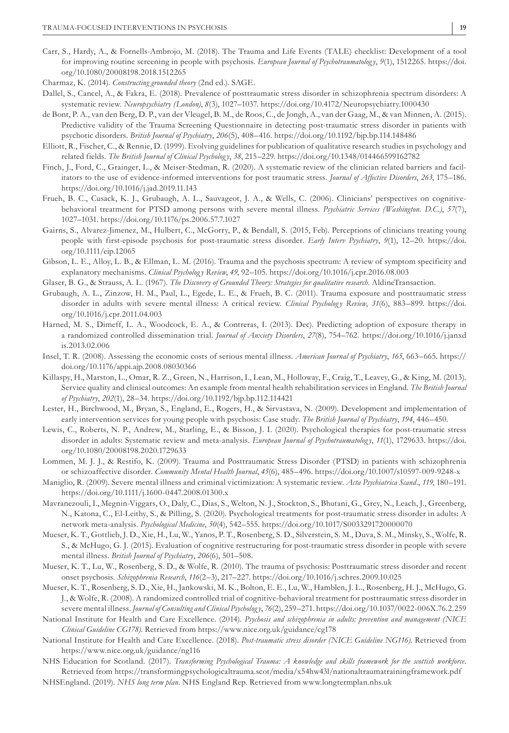- Carr, S., Hardy, A., & Fornells-Ambrojo, M. (2018). The Trauma and Life Events (TALE) checklist: Development of a tool for improving routine screening in people with psychosis. *European Journal of Psychotraumatolog y*, *9*(1), 1512265. [https://doi.](https://doi.org/10.1080/20008198.2018.1512265) [org/10.1080/20008198.2018.1512265](https://doi.org/10.1080/20008198.2018.1512265)
- Charmaz, K. (2014). *Constructing grounded theory* (2nd ed.). SAGE.
- Dallel, S., Cancel, A., & Fakra, E. (2018). Prevalence of posttraumatic stress disorder in schizophrenia spectrum disorders: A systematic review. *Neuropsychiatry (London)*, *8*(3), 1027–1037.<https://doi.org/10.4172/Neuropsychiatry.1000430>
- de Bont, P. A., van den Berg, D. P., van der Vleugel, B. M., de Roos, C., de Jongh, A., van der Gaag, M., & van Minnen, A. (2015). Predictive validity of the Trauma Screening Questionnaire in detecting post-traumatic stress disorder in patients with psychotic disorders. *British Journal of Psychiatry*, *206*(5), 408–416.<https://doi.org/10.1192/bjp.bp.114.148486>
- Elliott, R., Fischer, C., & Rennie, D. (1999). Evolving guidelines for publication of qualitative research studies in psychology and related fields. *The British Journal of Clinical Psycholog y*, *38*, 215–229.<https://doi.org/10.1348/014466599162782>
- Finch, J., Ford, C., Grainger, L., & Meiser-Stedman, R. (2020). A systematic review of the clinician related barriers and facilitators to the use of evidence-informed interventions for post traumatic stress. *Journal of Affective Disorders*, *263*, 175–186. <https://doi.org/10.1016/j.jad.2019.11.143>
- Frueh, B. C., Cusack, K. J., Grubaugh, A. L., Sauvageot, J. A., & Wells, C. (2006). Clinicians' perspectives on cognitivebehavioral treatment for PTSD among persons with severe mental illness. *Psychiatric Services (Washington. D.C.)*, *57*(7), 1027–1031. <https://doi.org/10.1176/ps.2006.57.7.1027>
- Gairns, S., Alvarez-Jimenez, M., Hulbert, C., McGorry, P., & Bendall, S. (2015, Feb). Perceptions of clinicians treating young people with first-episode psychosis for post-traumatic stress disorder. *Early Interv Psychiatry*, *9*(1), 12–20. [https://doi.](https://doi.org/10.1111/eip.12065) [org/10.1111/eip.12065](https://doi.org/10.1111/eip.12065)
- Gibson, L. E., Alloy, L. B., & Ellman, L. M. (2016). Trauma and the psychosis spectrum: A review of symptom specificity and explanatory mechanisms. *Clinical Psychology Review*,  $49$ ,  $92-105$ . <https://doi.org/10.1016/j.cpr.2016.08.003>
- Glaser, B. G., & Strauss, A. L. (1967). *The Discovery of Grounded Theory: Strategies for qualitative research*. AldineTransaction.
- Grubaugh, A. L., Zinzow, H. M., Paul, L., Egede, L. E., & Frueh, B. C. (2011). Trauma exposure and posttraumatic stress disorder in adults with severe mental illness: A critical review. *Clinical Psychology Review*, 31(6), 883–899. [https://doi.](https://doi.org/10.1016/j.cpr.2011.04.003) [org/10.1016/j.cpr.2011.04.003](https://doi.org/10.1016/j.cpr.2011.04.003)
- Harned, M. S., Dimeff, L. A., Woodcock, E. A., & Contreras, I. (2013). Dec). Predicting adoption of exposure therapy in a randomized controlled dissemination trial. *Journal of Anxiety Disorders*, *27*(8), 754–762. [https://doi.org/10.1016/j.janxd](https://doi.org/10.1016/j.janxdis.2013.02.006) [is.2013.02.006](https://doi.org/10.1016/j.janxdis.2013.02.006)
- Insel, T. R. (2008). Assessing the economic costs of serious mental illness. *American Journal of Psychiatry*, *165*, 663–665. [https://](https://doi.org/10.1176/appi.ajp.2008.08030366) [doi.org/10.1176/appi.ajp.2008.08030366](https://doi.org/10.1176/appi.ajp.2008.08030366)
- Killaspy, H., Marston, L., Omar, R. Z., Green, N., Harrison, I., Lean, M., Holloway, F., Craig, T., Leavey, G., & King, M. (2013). Service quality and clinical outcomes: An example from mental health rehabilitation services in England. *The British Journal of Psychiatry*, *202*(1), 28–34.<https://doi.org/10.1192/bjp.bp.112.114421>
- Lester, H., Birchwood, M., Bryan, S., England, E., Rogers, H., & Sirvastava, N. (2009). Development and implementation of early intervention services for young people with psychosis: Case study. *The British Journal of Psychiatry*, *194*, 446–450.
- Lewis, C., Roberts, N. P., Andrew, M., Starling, E., & Bisson, J. I. (2020). Psychological therapies for post-traumatic stress disorder in adults: Systematic review and meta-analysis. *European Journal of Psychotraumatolog y*, *11*(1), 1729633. [https://doi.](https://doi.org/10.1080/20008198.2020.1729633) [org/10.1080/20008198.2020.1729633](https://doi.org/10.1080/20008198.2020.1729633)
- Lommen, M. J. J., & Restifo, K. (2009). Trauma and Posttraumatic Stress Disorder (PTSD) in patients with schizophrenia or schizoaffective disorder. *Community Mental Health Journal*, *45*(6), 485–496.<https://doi.org/10.1007/s10597-009-9248-x>
- Maniglio, R. (2009). Severe mental illness and criminal victimization: A systematic review. *Acta Psychiatrica Scand.*, *119*, 180–191. <https://doi.org/10.1111/j.1600-0447.2008.01300.x>
- Mavranezouli, I., Megnin-Viggars, O., Daly, C., Dias, S., Welton, N. J., Stockton, S., Bhutani, G., Grey, N., Leach, J., Greenberg, N., Katona, C., El-Leithy, S., & Pilling, S. (2020). Psychological treatments for post-traumatic stress disorder in adults: A network meta-analysis. *Psychological Medicine*, *50*(4), 542–555. <https://doi.org/10.1017/S0033291720000070>
- Mueser, K. T., Gottlieb, J. D., Xie, H., Lu, W., Yanos, P. T., Rosenberg, S. D., Silverstein, S. M., Duva, S. M., Minsky, S., Wolfe, R. S., & McHugo, G. J. (2015). Evaluation of cognitive restructuring for post-traumatic stress disorder in people with severe mental illness. *British Journal of Psychiatry*, *206*(6), 501–508.
- Mueser, K. T., Lu, W., Rosenberg, S. D., & Wolfe, R. (2010). The trauma of psychosis: Posttraumatic stress disorder and recent onset psychosis. *Schizophrenia Research*, *116*(2–3), 217–227. <https://doi.org/10.1016/j.schres.2009.10.025>
- Mueser, K. T., Rosenberg, S. D., Xie, H., Jankowski, M. K., Bolton, E. E., Lu, W., Hamblen, J. L., Rosenberg, H. J., McHugo, G. J., & Wolfe, R. (2008). A randomized controlled trial of cognitive-behavioral treatment for posttraumatic stress disorder in severe mental illness. *Journal of Consulting and Clinical Psycholog y*, *76*(2), 259–271.<https://doi.org/10.1037/0022-006X.76.2.259>
- National Institute for Health and Care Excellence. (2014). *Psychosis and schizophrenia in adults: prevention and management (NICE Clinical Guideline CG178)*. Retrieved from <https://www.nice.org.uk/guidance/cg178>
- National Institute for Health and Care Excellence. (2018). *Post-traumatic stress disorder (NICE Guideline NG116)*. Retrieved from <https://www.nice.org.uk/guidance/ng116>
- NHS Education for Scotland. (2017). *Transforming Psychological Trauma: A knowledge and skills framework for the scottish workforce*. Retrieved from<https://transformingpsychologicaltrauma.scot/media/x54hw43l/nationaltraumatrainingframework.pdf>
- NHSEngland. (2019). *NHS long term plan*. NHS England Rep. Retrieved from [www.longtermplan.nhs.uk](http://www.longtermplan.nhs.uk)